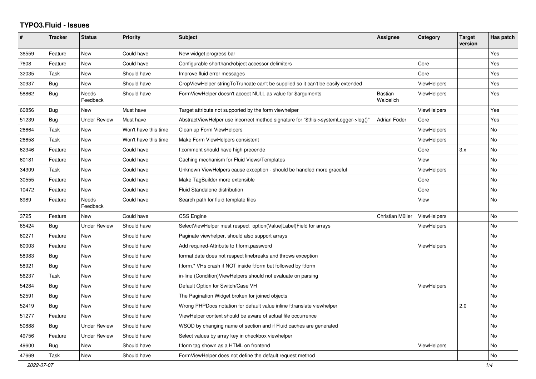## **TYPO3.Fluid - Issues**

| #     | Tracker    | <b>Status</b>            | <b>Priority</b>      | Subject                                                                             | Assignee             | Category           | <b>Target</b><br>version | Has patch |
|-------|------------|--------------------------|----------------------|-------------------------------------------------------------------------------------|----------------------|--------------------|--------------------------|-----------|
| 36559 | Feature    | New                      | Could have           | New widget progress bar                                                             |                      |                    |                          | Yes       |
| 7608  | Feature    | <b>New</b>               | Could have           | Configurable shorthand/object accessor delimiters                                   |                      | Core               |                          | Yes       |
| 32035 | Task       | New                      | Should have          | Improve fluid error messages                                                        |                      | Core               |                          | Yes       |
| 30937 | Bug        | New                      | Should have          | CropViewHelper stringToTruncate can't be supplied so it can't be easily extended    |                      | ViewHelpers        |                          | Yes       |
| 58862 | Bug        | Needs<br>Feedback        | Should have          | FormViewHelper doesn't accept NULL as value for \$arguments                         | Bastian<br>Waidelich | <b>ViewHelpers</b> |                          | Yes       |
| 60856 | Bug        | New                      | Must have            | Target attribute not supported by the form viewhelper                               |                      | ViewHelpers        |                          | Yes       |
| 51239 | Bug        | <b>Under Review</b>      | Must have            | AbstractViewHelper use incorrect method signature for "\$this->systemLogger->log()" | Adrian Föder         | Core               |                          | Yes       |
| 26664 | Task       | New                      | Won't have this time | Clean up Form ViewHelpers                                                           |                      | ViewHelpers        |                          | No        |
| 26658 | Task       | New                      | Won't have this time | Make Form ViewHelpers consistent                                                    |                      | ViewHelpers        |                          | No        |
| 62346 | Feature    | <b>New</b>               | Could have           | f:comment should have high precende                                                 |                      | Core               | 3.x                      | <b>No</b> |
| 60181 | Feature    | <b>New</b>               | Could have           | Caching mechanism for Fluid Views/Templates                                         |                      | View               |                          | <b>No</b> |
| 34309 | Task       | <b>New</b>               | Could have           | Unknown ViewHelpers cause exception - should be handled more graceful               |                      | ViewHelpers        |                          | <b>No</b> |
| 30555 | Feature    | New                      | Could have           | Make TagBuilder more extensible                                                     |                      | Core               |                          | No        |
| 10472 | Feature    | New                      | Could have           | Fluid Standalone distribution                                                       |                      | Core               |                          | No        |
| 8989  | Feature    | <b>Needs</b><br>Feedback | Could have           | Search path for fluid template files                                                |                      | View               |                          | <b>No</b> |
| 3725  | Feature    | <b>New</b>               | Could have           | <b>CSS Engine</b>                                                                   | Christian Müller     | ViewHelpers        |                          | <b>No</b> |
| 65424 | Bug        | <b>Under Review</b>      | Should have          | SelectViewHelper must respect option(Value Label)Field for arrays                   |                      | ViewHelpers        |                          | <b>No</b> |
| 60271 | Feature    | New                      | Should have          | Paginate viewhelper, should also support arrays                                     |                      |                    |                          | No        |
| 60003 | Feature    | <b>New</b>               | Should have          | Add required-Attribute to f:form.password                                           |                      | <b>ViewHelpers</b> |                          | <b>No</b> |
| 58983 | Bug        | New                      | Should have          | format.date does not respect linebreaks and throws exception                        |                      |                    |                          | No        |
| 58921 | Bug        | <b>New</b>               | Should have          | f:form.* VHs crash if NOT inside f:form but followed by f:form                      |                      |                    |                          | <b>No</b> |
| 56237 | Task       | <b>New</b>               | Should have          | in-line (Condition) View Helpers should not evaluate on parsing                     |                      |                    |                          | <b>No</b> |
| 54284 | Bug        | <b>New</b>               | Should have          | Default Option for Switch/Case VH                                                   |                      | ViewHelpers        |                          | <b>No</b> |
| 52591 | Bug        | New                      | Should have          | The Pagination Widget broken for joined objects                                     |                      |                    |                          | No        |
| 52419 | <b>Bug</b> | New                      | Should have          | Wrong PHPDocs notation for default value inline f:translate viewhelper              |                      |                    | 2.0                      | No        |
| 51277 | Feature    | <b>New</b>               | Should have          | ViewHelper context should be aware of actual file occurrence                        |                      |                    |                          | <b>No</b> |
| 50888 | Bug        | <b>Under Review</b>      | Should have          | WSOD by changing name of section and if Fluid caches are generated                  |                      |                    |                          | No        |
| 49756 | Feature    | <b>Under Review</b>      | Should have          | Select values by array key in checkbox viewhelper                                   |                      |                    |                          | No        |
| 49600 | Bug        | <b>New</b>               | Should have          | f:form tag shown as a HTML on frontend                                              |                      | ViewHelpers        |                          | No        |
| 47669 | Task       | <b>New</b>               | Should have          | FormViewHelper does not define the default request method                           |                      |                    |                          | No        |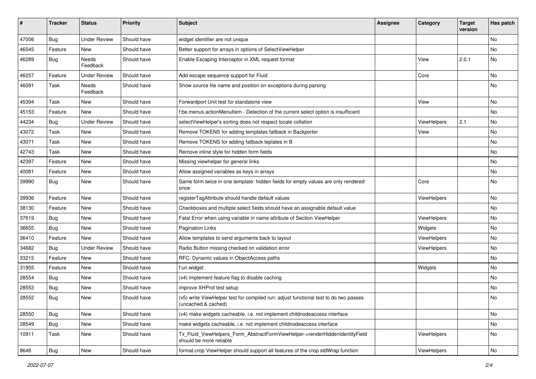| #     | <b>Tracker</b> | <b>Status</b>       | <b>Priority</b> | <b>Subject</b>                                                                                              | <b>Assignee</b> | Category    | <b>Target</b><br>version | Has patch |
|-------|----------------|---------------------|-----------------|-------------------------------------------------------------------------------------------------------------|-----------------|-------------|--------------------------|-----------|
| 47006 | Bug            | <b>Under Review</b> | Should have     | widget identifier are not unique                                                                            |                 |             |                          | <b>No</b> |
| 46545 | Feature        | New                 | Should have     | Better support for arrays in options of SelectViewHelper                                                    |                 |             |                          | No        |
| 46289 | Bug            | Needs<br>Feedback   | Should have     | Enable Escaping Interceptor in XML request format                                                           |                 | View        | 2.0.1                    | No        |
| 46257 | Feature        | <b>Under Review</b> | Should have     | Add escape sequence support for Fluid                                                                       |                 | Core        |                          | No        |
| 46091 | Task           | Needs<br>Feedback   | Should have     | Show source file name and position on exceptions during parsing                                             |                 |             |                          | No        |
| 45394 | Task           | New                 | Should have     | Forwardport Unit test for standalone view                                                                   |                 | View        |                          | No        |
| 45153 | Feature        | New                 | Should have     | f:be.menus.actionMenuItem - Detection of the current select option is insufficient                          |                 |             |                          | No        |
| 44234 | Bug            | <b>Under Review</b> | Should have     | selectViewHelper's sorting does not respect locale collation                                                |                 | ViewHelpers | 2.1                      | No        |
| 43072 | Task           | New                 | Should have     | Remove TOKENS for adding templates fallback in Backporter                                                   |                 | View        |                          | No        |
| 43071 | Task           | New                 | Should have     | Remove TOKENS for adding fallback teplates in B                                                             |                 |             |                          | No        |
| 42743 | Task           | New                 | Should have     | Remove inline style for hidden form fields                                                                  |                 |             |                          | No        |
| 42397 | Feature        | New                 | Should have     | Missing viewhelper for general links                                                                        |                 |             |                          | <b>No</b> |
| 40081 | Feature        | New                 | Should have     | Allow assigned variables as keys in arrays                                                                  |                 |             |                          | No        |
| 39990 | Bug            | New                 | Should have     | Same form twice in one template: hidden fields for empty values are only rendered<br>once                   |                 | Core        |                          | No        |
| 39936 | Feature        | New                 | Should have     | registerTagAttribute should handle default values                                                           |                 | ViewHelpers |                          | No        |
| 38130 | Feature        | New                 | Should have     | Checkboxes and multiple select fields should have an assignable default value                               |                 |             |                          | No        |
| 37619 | Bug            | New                 | Should have     | Fatal Error when using variable in name attribute of Section ViewHelper                                     |                 | ViewHelpers |                          | No        |
| 36655 | Bug            | New                 | Should have     | <b>Pagination Links</b>                                                                                     |                 | Widgets     |                          | No        |
| 36410 | Feature        | New                 | Should have     | Allow templates to send arguments back to layout                                                            |                 | ViewHelpers |                          | No        |
| 34682 | Bug            | <b>Under Review</b> | Should have     | Radio Button missing checked on validation error                                                            |                 | ViewHelpers |                          | No        |
| 33215 | Feature        | New                 | Should have     | RFC: Dynamic values in ObjectAccess paths                                                                   |                 |             |                          | No        |
| 31955 | Feature        | New                 | Should have     | f:uri.widget                                                                                                |                 | Widgets     |                          | No        |
| 28554 | Bug            | New                 | Should have     | (v4) implement feature flag to disable caching                                                              |                 |             |                          | No        |
| 28553 | Bug            | New                 | Should have     | improve XHProf test setup                                                                                   |                 |             |                          | <b>No</b> |
| 28552 | Bug            | New                 | Should have     | (v5) write ViewHelper test for compiled run; adjust functional test to do two passes<br>(uncached & cached) |                 |             |                          | No        |
| 28550 | <b>Bug</b>     | New                 | Should have     | (v4) make widgets cacheable, i.e. not implement childnodeaccess interface                                   |                 |             |                          | No        |
| 28549 | <b>Bug</b>     | New                 | Should have     | make widgets cacheable, i.e. not implement childnodeaccess interface                                        |                 |             |                          | No        |
| 10911 | Task           | New                 | Should have     | Tx_Fluid_ViewHelpers_Form_AbstractFormViewHelper->renderHiddenIdentityField<br>should be more reliable      |                 | ViewHelpers |                          | No        |
| 8648  | Bug            | New                 | Should have     | format.crop ViewHelper should support all features of the crop stdWrap function                             |                 | ViewHelpers |                          | No        |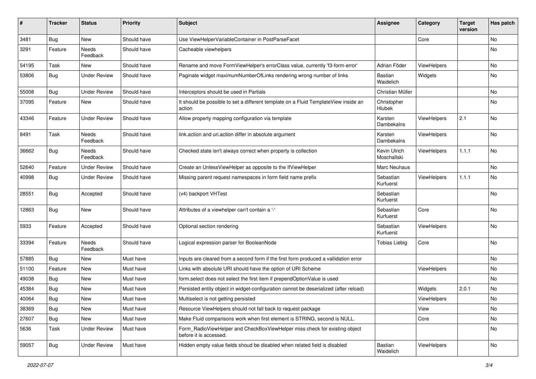| #     | <b>Tracker</b> | <b>Status</b>       | <b>Priority</b> | Subject                                                                                              | <b>Assignee</b>             | Category           | <b>Target</b><br>version | Has patch |
|-------|----------------|---------------------|-----------------|------------------------------------------------------------------------------------------------------|-----------------------------|--------------------|--------------------------|-----------|
| 3481  | Bug            | New                 | Should have     | Use ViewHelperVariableContainer in PostParseFacet                                                    |                             | Core               |                          | No        |
| 3291  | Feature        | Needs<br>Feedback   | Should have     | Cacheable viewhelpers                                                                                |                             |                    |                          | No        |
| 54195 | Task           | New                 | Should have     | Rename and move FormViewHelper's errorClass value, currently 'f3-form-error'                         | Adrian Föder                | <b>ViewHelpers</b> |                          | <b>No</b> |
| 53806 | Bug            | <b>Under Review</b> | Should have     | Paginate widget maximumNumberOfLinks rendering wrong number of links                                 | <b>Bastian</b><br>Waidelich | Widgets            |                          | No        |
| 55008 | Bug            | <b>Under Review</b> | Should have     | Interceptors should be used in Partials                                                              | Christian Müller            |                    |                          | No        |
| 37095 | Feature        | New                 | Should have     | It should be possible to set a different template on a Fluid TemplateView inside an<br>action        | Christopher<br>Hlubek       |                    |                          | No        |
| 43346 | Feature        | <b>Under Review</b> | Should have     | Allow property mapping configuration via template                                                    | Karsten<br>Dambekalns       | ViewHelpers        | 2.1                      | No        |
| 8491  | Task           | Needs<br>Feedback   | Should have     | link.action and uri.action differ in absolute argument                                               | Karsten<br>Dambekalns       | ViewHelpers        |                          | No        |
| 36662 | Bug            | Needs<br>Feedback   | Should have     | Checked state isn't always correct when property is collection                                       | Kevin Ulrich<br>Moschallski | ViewHelpers        | 1.1.1                    | No        |
| 52640 | Feature        | <b>Under Review</b> | Should have     | Create an UnlessViewHelper as opposite to the IfViewHelper                                           | Marc Neuhaus                |                    |                          | No        |
| 40998 | Bug            | Under Review        | Should have     | Missing parent request namespaces in form field name prefix                                          | Sebastian<br>Kurfuerst      | ViewHelpers        | 1.1.1                    | No        |
| 28551 | Bug            | Accepted            | Should have     | (v4) backport VHTest                                                                                 | Sebastian<br>Kurfuerst      |                    |                          | No        |
| 12863 | <b>Bug</b>     | New                 | Should have     | Attributes of a viewhelper can't contain a '-'                                                       | Sebastian<br>Kurfuerst      | Core               |                          | No        |
| 5933  | Feature        | Accepted            | Should have     | Optional section rendering                                                                           | Sebastian<br>Kurfuerst      | ViewHelpers        |                          | No        |
| 33394 | Feature        | Needs<br>Feedback   | Should have     | Logical expression parser for BooleanNode                                                            | <b>Tobias Liebig</b>        | Core               |                          | No        |
| 57885 | Bug            | New                 | Must have       | Inputs are cleared from a second form if the first form produced a vallidation error                 |                             |                    |                          | No        |
| 51100 | Feature        | New                 | Must have       | Links with absolute URI should have the option of URI Scheme                                         |                             | ViewHelpers        |                          | <b>No</b> |
| 49038 | Bug            | New                 | Must have       | form.select does not select the first item if prependOptionValue is used                             |                             |                    |                          | No        |
| 45384 | Bug            | New                 | Must have       | Persisted entity object in widget-configuration cannot be deserialized (after reload)                |                             | Widgets            | 2.0.1                    | No        |
| 40064 | Bug            | New                 | Must have       | Multiselect is not getting persisted                                                                 |                             | ViewHelpers        |                          | No        |
| 38369 | Bug            | New                 | Must have       | Resource ViewHelpers should not fall back to request package                                         |                             | View               |                          | No        |
| 27607 | Bug            | New                 | Must have       | Make Fluid comparisons work when first element is STRING, second is NULL.                            |                             | Core               |                          | No        |
| 5636  | Task           | <b>Under Review</b> | Must have       | Form_RadioViewHelper and CheckBoxViewHelper miss check for existing object<br>before it is accessed. |                             |                    |                          | No        |
| 59057 | Bug            | <b>Under Review</b> | Must have       | Hidden empty value fields shoud be disabled when related field is disabled                           | Bastian<br>Waidelich        | ViewHelpers        |                          | No        |